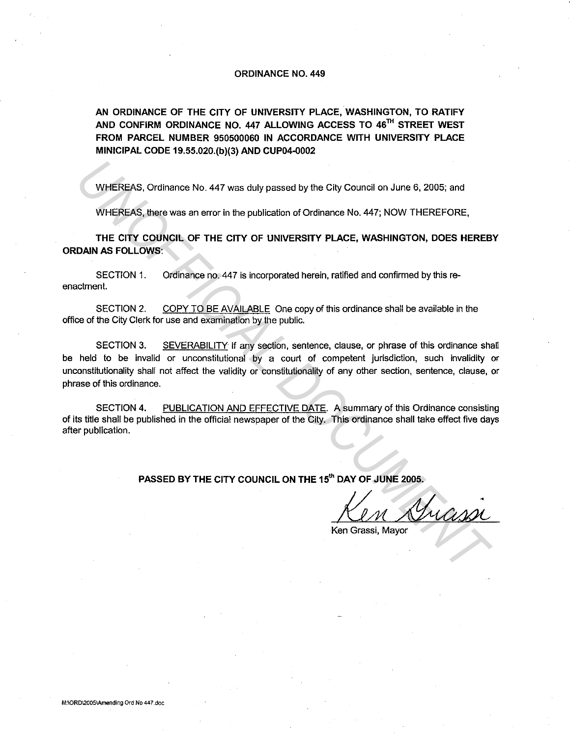## ORDINANCE NO. 449

AN ORDINANCE OF THE CITY OF UNIVERSITY PLACE, WASHINGTON, TO RATIFY AND CONFIRM ORDINANCE NO. 447 ALLOWING ACCESS TO  $46^{\text{Th}}$  STREET WEST FROM PARCEL NUMBER 950500060 IN ACCORDANCE WITH UNIVERSITY PLACE MINICIPAL CODE 19.55.020.(b)(3) AND CUP04-0002

WHEREAS, Ordinance No. 447 was duly passed by the City Council on June 6. 2005; and

WHEREAS, there was an error in the publication of Ordinance No. 447; NOW THEREFORE,

THE CITY COUNCIL OF THE CITY OF UNIVERSITY PLACE, WASHINGTON, DOES HEREBY ORDAIN AS FOLLOWS:

SECTION 1. Ordinance no. 447 is incorporated herein, ratified and confirmed by this reenactment.

SECTION 2. COPY TO BE AVAILABLE One copy of this ordinance shall be available in the office of the City Clerk for use and examination by the public.

SECTION 3. SEVERABILITY If any section, sentence, clause, or phrase of this ordinance shall be held to be invalid or unconstitutional by a court of competent jurisdiction, such invalidity or unconstitutionality shall not affect the validity or constitutionality of any other section, sentence, clause, or phrase of this ordinance. **WHEREAS, Ordinance No. 447 was duly passed by the City Council on June 6, 2005; and<br>
WHEREAS, there was an error in the publication of Ordinance No. 447; NOW THEREFORE,<br>
THE CITY COUNCIL OF THE CITY OF UNIVERSITY PLACE, W** 

SECTION 4. PUBLICATION AND EFFECTIVE DATE. A summary of this Ordinance consisting of its title shall be published in the official newspaper of the City. This ordinance shall take effect five days after publication.

PASSED BY THE CITY COUNCIL ON THE 15<sup>th</sup> DAY OF JUNE 2005.

Ken Grassi, Mayor